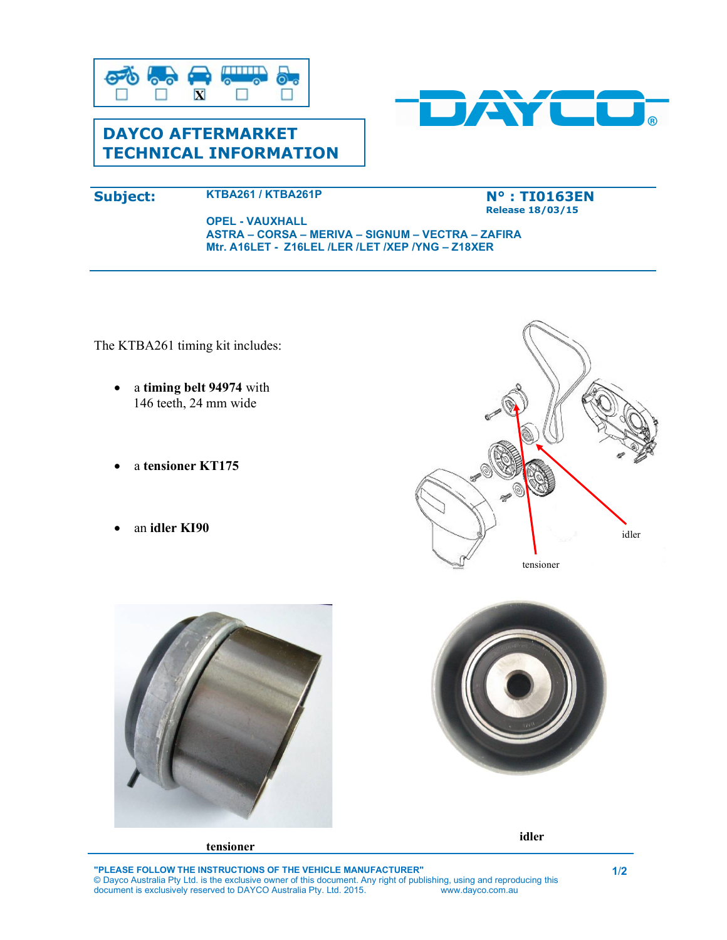

# DAYCO AFTERMARKET TECHNICAL INFORMATION



## Subject: KTBA261 / KTBA261P

#### N° : TI0163EN Release 18/03/15

#### OPEL - VAUXHALL ASTRA – CORSA – MERIVA – SIGNUM – VECTRA – ZAFIRA Mtr. A16LET - Z16LEL /LER /LET /XEP /YNG – Z18XER

The KTBA261 timing kit includes:

- a timing belt 94974 with 146 teeth, 24 mm wide
- a tensioner KT175
- an idler KI90









idler